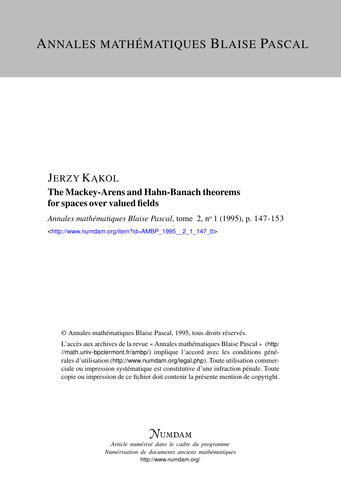## **JERZY KAKOL**

### The Mackey-Arens and Hahn-Banach theorems for spaces over valued fields

*Annales mathématiques Blaise Pascal*, tome 2, n<sup>o</sup> 1 (1995), p. 147-153 <[http://www.numdam.org/item?id=AMBP\\_1995\\_\\_2\\_1\\_147\\_0](http://www.numdam.org/item?id=AMBP_1995__2_1_147_0)>

© Annales mathématiques Blaise Pascal, 1995, tous droits réservés.

L'accès aux archives de la revue « Annales mathématiques Blaise Pascal » ([http:](http://math.univ-bpclermont.fr/ambp/) [//math.univ-bpclermont.fr/ambp/](http://math.univ-bpclermont.fr/ambp/)) implique l'accord avec les conditions générales d'utilisation (<http://www.numdam.org/legal.php>). Toute utilisation commerciale ou impression systématique est constitutive d'une infraction pénale. Toute copie ou impression de ce fichier doit contenir la présente mention de copyright.

# **NUMDAM**

*Article numérisé dans le cadre du programme Numérisation de documents anciens mathématiques* <http://www.numdam.org/>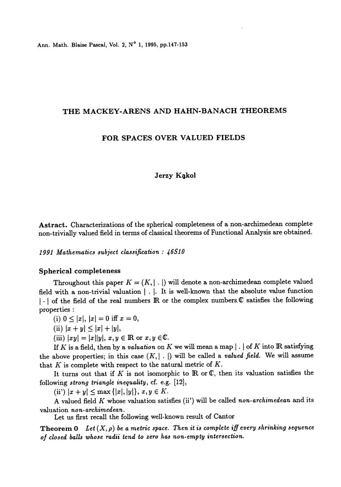Ann. Math. Blaise Pascal, Vol. 2, N° 1, 1995, pp.147-153

#### THE MACKEY-ARENS AND HAHN-BANACH THEOREMS

#### FOR SPACES OVER VALUED FIELDS

#### Jerzy Kąkol

Astract. Characterizations of the spherical completeness of a non-archimedean complete non-trivially valued field in terms of classical theorems of Functional Analysis are obtained.

1991 Mathematics subject classification:  $46S10$ 

#### Spherical completeness

Throughout this paper  $K = (K, | \cdot |)$  will denote a non-archimedean complete valued field with a non-trivial valuation  $|\cdot|$ . It is well-known that the absolute value function I . | of the field of the real numbers IR or the complex numbers. C satisfies the following properties :

(i)  $0 \le |x|, |x| = 0$  iff  $x = 0$ ,

(ii)  $|x + y| \leq |x| + |y|$ ,

(iii)  $|xy| = |x||y|, x, y \in \mathbb{R}$  or  $x, y \in \mathbb{C}$ .

If K is a field, then by a valuation on K we will mean a map  $|\cdot|$  of K into IR satisfying the above properties; in this case  $(K, | \cdot |)$  will be called a *valued field*. We will assume that  $K$  is complete with respect to the natural metric of  $K$ .

It turns out that if K is not isomorphic to  $\mathbb R$  or  $\mathbb C$ , then its valuation satisfies the following strong triangle inequality, cf. e.g. [12],

(ii)  $|x + y| \le \max\{|x|, |y|\}, x, y \in K.$ 

A valued field K whose valuation satisfies (ii') will be called non-archimedean and its valuation non-archimedean.

Let us first recall the following well-known result of Cantor

**Theorem 0** Let  $(X, \rho)$  be a metric space. Then it is complete iff every shrinking sequence of closed balls whose radii tend to zero has non-empty intersection.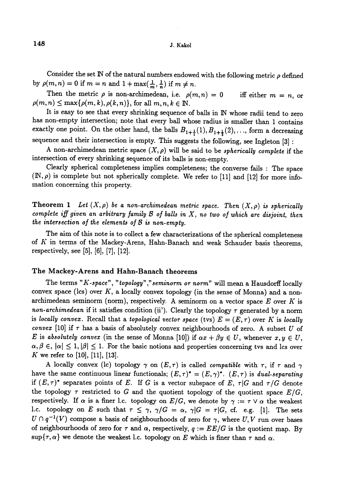Consider the set  $\mathbb N$  of the natural numbers endowed with the following metric  $\rho$  defined by  $\rho(m, n) = 0$  if  $m = n$  and  $1 + \max(\frac{1}{m}, \frac{1}{n})$  if  $m \neq n$ .

Then the metric  $\rho$  is non-archimedean, i.e.  $\rho(m, n) = 0$  iff either  $m = n$ , or  $\rho(m, n) \leq \max\{\rho(m, k), \rho(k, n)\}\,$  for all  $m, n, k \in \mathbb{N}$ .

It is easy to see that every shrinking sequence of balls in IN whose radii tend to zero has non-empty intersection; note that every ball whose radius is smaller than 1 contains exactly one point. On the other hand, the balls  $B_{1+\frac{1}{2}}(1), B_{1+\frac{1}{2}}(2), \ldots$ , form a decreasing sequence and their intersection is empty. This suggests the following, see Ingleton [3] :

A non-archimedean metric space  $(X, \rho)$  will be said to be *spherically complete* if the intersection of every shrinking sequence of its balls is non-empty.

Clearly spherical completeness implies completeness; the converse fails : The space  $(N, \rho)$  is complete but not spherically complete. We refer to [11] and [12] for more infomation concerning this property.

**Theorem 1** Let  $(X, \rho)$  be a non-archimedean metric space. Then  $(X, \rho)$  is spherically complete iff given an arbitrary family  $\mathcal B$  of balls in  $X$ , no two of which are disjoint, then the intersection of the elements of  $\beta$  is non-empty.

The aim of this note is to collect a few characterizations of the spherical completeness of  $K$  in terms of the Mackey-Arens, Hahn-Banach and weak Schauder basis theorems, respectively, see [5], [6], [7], [12].

#### The Mackey-Arens and Hahn-Banach theorems

The terms "K-space", "topology"," seminorm or norm" will mean a Hausdorff locally convex space (lcs) over  $K$ , a locally convex topology (in the sense of Monna) and a nonarchimedean seminorm (norm), respectively. A seminorm on a vector space  $E$  over  $K$  is non-archimedean if it satisfies condition (ii). Clearly the topology  $\tau$  generated by a norm is locally convex. Recall that a topological vector space (tvs)  $E = (E, \tau)$  over K is locally convex [10] if  $\tau$  has a basis of absolutely convex neighbourhoods of zero. A subset U of E is absolutely convex (in the sense of Monna [10]) if  $\alpha x + \beta y \in U$ , whenever  $x, y \in U$ ,  $\alpha, \beta \in |\alpha| \leq 1, |\beta| \leq 1$ . For the basic notions and properties concerning tvs and lcs over K we refer to  $[10]$ ,  $[11]$ ,  $[13]$ .

A locally convex (lc) topology  $\gamma$  on  $(E, \tau)$  is called *compatible* with  $\tau$ , if  $\tau$  and  $\gamma$ have the same continuous linear functionals;  $(E, \tau)^* = (E, \gamma)^*$ .  $(E, \tau)$  is dual-separating if  $(E, \tau)^*$  separates points of E. If G is a vector subspace of E,  $\tau |G|$  and  $\tau/G$  denote the topology  $\tau$  restricted to G and the quotient topology of the quotient space  $E/G$ , respectively. If  $\alpha$  is a finer l.c. topology on  $E/G$ , we denote by  $\gamma := \tau \vee \alpha$  the weakest I.c. topology on E such that  $\tau \leq \gamma$ ,  $\gamma/G = \alpha$ ,  $\gamma|G = \tau|G$ , cf. e.g. [1]. The sets  $U \cap q^{-1}(V)$  compose a basis of neighbourhoods of zero for  $\gamma$ , where  $U, V$  run over bases of neighbourhoods of zero for  $\tau$  and  $\alpha$ , respectively,  $q := EE/G$  is the quotient map. By sup $\{\tau, \alpha\}$  we denote the weakest l.c. topology on E which is finer than  $\tau$  and  $\alpha$ .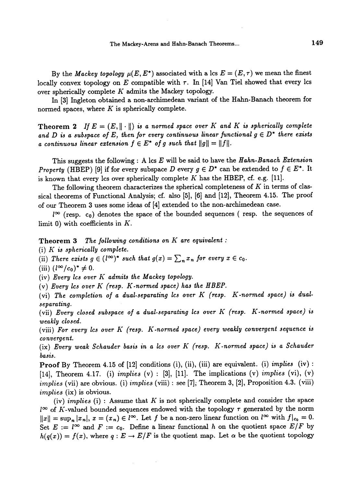The Mackey-Arens and Hahn-Banach Theorems...

By the *Mackey topology*  $\mu(E, E^*)$  associated with a lcs  $E = (E, \tau)$  we mean the finest locally convex topology on E compatible with  $\tau$ . In [14] Van Tiel showed that every lcs over spherically complete  $K$  admits the Mackey topology.

In (3j Ingleton obtained a non-archimedean variant of the Hahn-Banach theorem for normed spaces, where  $K$  is spherically complete.

Theorem 2 If  $E = (E, \|\cdot\|)$  is a normed space over K and K is spherically complete and D is a subspace of E, then for every continuous linear functional  $g \in D^*$  there exists a continuous linear extension  $f \in E^*$  of g such that  $||g|| = ||f||$ .

This suggests the following : A lcs  $E$  will be said to have the  $Hahn-Banach$  Extension *Property* (HBEP) [9] if for every subspace D every  $g \in D^*$  can be extended to  $f \in E^*$ . It is known that every lcs over spherically complete  $K$  has the HBEP, cf. e.g.  $[11]$ .

The following theorem characterizes the spherical completeness of K in terms of classical theorems of Functional Analysis; cf. also [5], [6] and [12], Theorem 4.I5. The proof of our Theorem 3 uses some ideas of [4] extended to the non-archimedean case.

 $l^{\infty}$  (resp. c<sub>0</sub>) denotes the space of the bounded sequences ( resp. the sequences of limit 0) with coefficients in  $K$ .

Theorem 3 The following conditions on K are equivalent :

(i)  $K$  is spherically complete.

(ii) There exists  $g \in (l^{\infty})^*$  such that  $g(x) = \sum_n x_n$  for every  $x \in c_0$ .

(iii)  $(l^{\infty}/c_0)^* \neq 0$ .

(iv) Every lcs over  $K$  admits the Mackey topology.

(v) Every Ics over K (resp.  $K$ -normed space) has the HBEP.

(vi) The completion of a dual-separating lcs over K (resp. K -normed space) is dual. separating.

(vii) Every closed subspace of a dual-separating lcs over  $K$  (resp.  $K$ -normed space) is weakly closed.

(viii) For every lcs over  $K$  (resp.  $K$ -normed space) every weakly convergent sequence is convergent.

(ix) Every weak Schauder basis in a lcs over K (resp. K-normed space) is a Schauder basis.

**Proof** By Theorem 4.15 of  $[12]$  conditions  $(i)$ ,  $(ii)$ ,  $(iii)$  are equivalent.  $(i)$  *implies*  $(iv)$ : [14], Theorem 4.17. (i) implies  $(v)$  : [3], [11]. The implications  $(v)$  implies  $(vi)$ ,  $(v)$  $implies$  (vii) are obvious. (i) implies (viii) : see [7], Theorem 3, [2], Proposition 4.3. (viii) implies (ix) is obvious.

(iv) implies  $(i)$ : Assume that K is not spherically complete and consider the space  $l^{\infty}$  of K-valued bounded sequences endowed with the topology  $\tau$  generated by the norm  $||x|| = \sup_n |x_n|, x = (x_n) \in l^{\infty}$ . Let f be a non-zero linear function on  $l^{\infty}$  with  $f|_{c_0} = 0$ . Set  $E := l^{\infty}$  and  $F := c_0$ . Define a linear functional h on the quotient space  $E/F$  by  $h(q(x)) = f(x)$ , where  $q: E \to E/F$  is the quotient map. Let  $\alpha$  be the quotient topology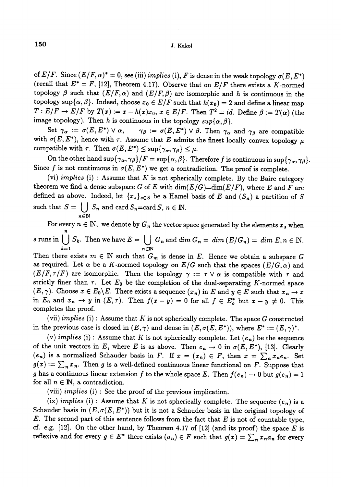of  $E/F$ . Since  $(E/F, \alpha)^* = 0$ , see (iii) *implies* (i), F is dense in the weak topology  $\sigma(E, E^*)$ (recall that  $E^* = F$ , [12], Theorem 4.17). Observe that on  $E/F$  there exists a K-normed topology  $\beta$  such that  $(E/F, \alpha)$  and  $(E/F, \beta)$  are isomorphic and h is continuous in the topology sup $\{\alpha, \beta\}$ . Indeed, choose  $x_0 \in E/F$  such that  $h(x_0) = 2$  and define a linear map  $T: E/F \to E/F$  by  $T(x) := x - h(x)x_0, x \in E/F$ . Then  $T^2 = id$ . Define  $\beta := T(\alpha)$  (the image topology). Then h is continuous in the topology  $sup{\{\alpha, \beta\}}$ .

Set  $\gamma_{\alpha} := \sigma(E, E^*) \vee \alpha$ ,  $\gamma_{\beta} := \sigma(E, E^*) \vee \beta$ . Then  $\gamma_{\alpha}$  and  $\gamma_{\beta}$  are compatible with  $\sigma(E, E^*)$ , hence with  $\tau$ . Assume that E admits the finest locally convex topology  $\mu$ compatible with  $\tau$ . Then  $\sigma(E, E^*) \leq \sup{\{\gamma_\alpha, \gamma_\beta\}} \leq \mu$ .

On the other hand  $\sup{\{\gamma_{\alpha}, \gamma_{\beta}\}}/F = \sup{\{\alpha, \beta\}}$ . Therefore f is continuous in  $\sup{\{\gamma_{\alpha}, \gamma_{\beta}\}}$ . Since f is not continuous in  $\sigma(E, E^*)$  we get a contradiction. The proof is complete.

(vi) implies (i) : Assume that  $K$  is not spherically complete. By the Baire category theorem we find a dense subspace G of E with  $\dim(E/G)=\dim(E/F)$ , where E and F are defined as above. Indeed, let  $\{x_s\}_{s\in S}$  be a Hamel basis of E and  $(S_n)$  a partition of S such that  $S = \bigcup_{n \in \mathbb{N}} S_n$  and card  $S_n = \text{card } S, n \in \mathbb{N}$ .

For every  $n \in \mathbb{N}$ , we denote by  $G_n$  the vector space generated by the elements  $x_s$  when s runs in  $\bigcup_{k=1} S_k$ . Then we have  $E = \bigcup_{n \in \mathbb{N}} G_n$  and  $\dim G_n = \dim (E/G_n) = \dim E, n \in \mathbb{N}$ . Then there exists  $m \in \mathbb{N}$  such that  $G_m$  is dense in E. Hence we obtain a subspace G as required. Let  $\alpha$  be a K-normed topology on  $E/G$  such that the spaces  $(E/G, \alpha)$  and  $(E/F, \tau/F)$  are isomorphic. Then the topology  $\gamma := \tau \vee \alpha$  is compatible with  $\tau$  and strictly finer than  $\tau$ . Let  $E_0$  be the completion of the dual-separating K-normed space  $(E, \gamma)$ . Choose  $x \in E_0 \backslash E$ . There exists a sequence  $(x_n)$  in E and  $y \in E$  such that  $x_n \to x$ in  $E_0$  and  $x_n \to y$  in  $(E, \tau)$ . Then  $f(x - y) = 0$  for all  $f \in E_o^*$  but  $x - y \neq 0$ . This completes the proof.

(vii) implies (i): Assume that K is not spherically complete. The space G constructed in the previous case is closed in  $(E, \gamma)$  and dense in  $(E, \sigma(E, E^*))$ , where  $E^* := (E, \gamma)^*$ .

(v) implies (i): Assume that K is not spherically complete. Let  $(e_n)$  be the sequence of the unit vectors in E, where E is as above. Then  $e_n \to 0$  in  $\sigma(E, E^*)$ , [13]. Clearly  $(e_n)$  is a normalized Schauder basis in F. If  $x = (x_n) \in F$ , then  $x = \sum_n x_n e_n$ . Set  $g(x) := \sum_{n} x_{n}$ . Then g is a well-defined continuous linear functional on F. Suppose that g has a continuous linear extension f to the whole space E. Then  $f(e_n) \to 0$  but  $g(e_n) = 1$ for all  $n \in \mathbb{N}$ , a contradiction.

(viii) *implies* (i) : See the proof of the previous implication.

(ix) implies (i) : Assume that K is not spherically complete. The sequence  $(e_n)$  is a Schauder basis in  $(E, \sigma(E, E^*))$  but it is not a Schauder basis in the original topology of  $E$ . The second part of this sentence follows from the fact that  $E$  is not of countable type, cf. e.g.  $[12]$ . On the other hand, by Theorem 4.17 of  $[12]$  (and its proof) the space E is reflexive and for every  $g \in E^*$  there exists  $(a_n) \in F$  such that  $g(x) = \sum_n x_n a_n$  for every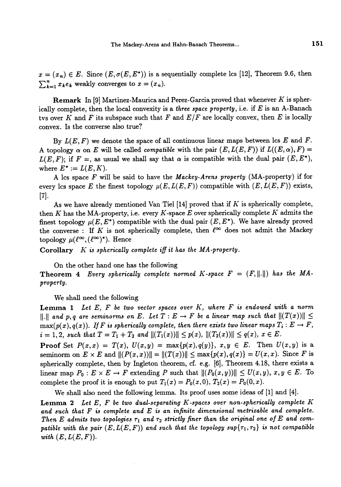$x = (x_n) \in E$ . Since  $(E, \sigma(E, E^*))$  is a sequentially complete lcs [12], Theorem 9.6, then  $\sum_{k=1}^{n} x_k e_k$  weakly converges to  $x = (x_n)$ .

**Remark** In [9] Martinez-Maurica and Perez-Garcia proved that whenever K is spherically complete, then the local convexity is a three space property, i.e. if  $E$  is an A-Banach tvs over K and F its subspace such that F and  $E/F$  are locally convex, then E is locally convex. Is the converse also true?

By  $L(E, F)$  we denote the space of all continuous linear maps between lcs E and F. A topology  $\alpha$  on E will be called *compatible* with the pair  $(E, L(E, F))$  if  $L((E, \alpha), F) =$  $L(E, F)$ ; if  $F =$ , as usual we shall say that  $\alpha$  is compatible with the dual pair  $(E, E^*)$ , where  $E^* := L(E, K)$ .

A lcs space F will be said to have the Mackey-Arens property (MA-property) if for every lcs space E the finest topology  $\mu(E, L(E, F))$  compatible with  $(E, L(E, F))$  exists,  $[7]$ .

As we have already mentioned Van Tiel  $[14]$  proved that if K is spherically complete, then K has the MA-property, i.e. every K-space E over spherically complete K admits the finest topology  $\mu(E, E^*)$  compatible with the dual pair  $(E, E^*)$ . We have already proved the converse : If K is not spherically complete, then  $\ell^{\infty}$  does not admit the Mackey topology  $\mu(\ell^{\infty}, (\ell^{\infty})^*)$ . Hence

Corollary  $K$  is spherically complete iff it has the MA-property.

On the other hand one has the following

**Theorem 4** Every spherically complete normed K-space  $F = (F, ||.||)$  has the MAproperty.

We shall need the following

**Lemma 1** Let  $E$ ,  $F$  be two vector spaces over  $K$ , where  $F$  is endowed with a norm  $||.||$  and p, q are seminorms on E. Let  $T : E \to F$  be a linear map such that  $||(T(x))|| \le$  $\max(p(x), q(x))$ . If F is spherically complete, then there exists two linear maps  $T_i : E \to F$ ,  $i = 1, 2$ , such that  $T = T_1 + T_2$  and  $||(T_1(x))|| \leq p(x), ||(T_2(x))|| \leq q(x), x \in E$ .

**Proof** Set  $P(x,x) = T(x)$ ,  $U(x,y) = \max\{p(x), q(y)\}$ ,  $x, y \in E$ . Then  $U(x,y)$  is a seminorm on  $E \times E$  and  $||(P(x,x))|| = ||(T(x))|| \leq \max\{p(x), q(x)\} = U(x,x)$ . Since F is spherically complete, then by Ingleton theorem, cf. e.g. [6], Theorem 4.18, there exists a linear map  $P_0 : E \times E \to F$  extending P such that  $||(P_0(x,y))|| \le U(x,y), x, y \in E$ . To complete the proof it is enough to put  $T_1(x) = P_0(x, 0), T_2(x) = P_0(0, x)$ .

We shall also need the following lemma. Its proof uses some ideas of [1] and [4].

**Lemma 2** Let  $E$ ,  $F$  be two dual-separating  $K$ -spaces over non-spherically complete  $K$ and such that  $F$  is complete and  $E$  is an infinite dimensional metrizable and complete. Then E admits two topologies  $\tau_1$  and  $\tau_2$  strictly finer than the original one of E and compatible with the pair  $(E, L(E, F))$  and such that the topology sup $\{\tau_1, \tau_2\}$  is not compatible with  $(E, L(E, F)).$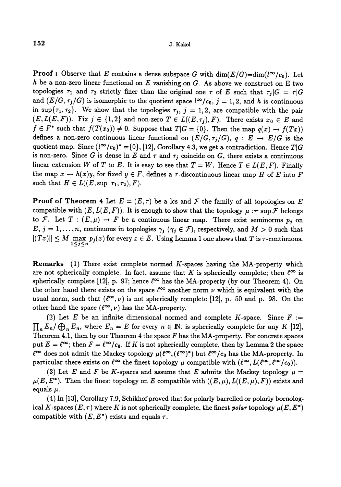**Proof :** Observe that E contains a dense subspace G with dim( $E/G$ )=dim( $l^{\infty}/c_0$ ). Let h be a non-zero linear functional on  $E$  vanishing on  $G$ . As above we construct on  $E$  two topologies  $\tau_1$  and  $\tau_2$  strictly finer than the original one  $\tau$  of E such that  $\tau_j |G| = \tau |G|$ and  $(E/G, \tau_j/G)$  is isomorphic to the quotient space  $l^{\infty}/c_0$ ,  $j = 1, 2$ , and h is continuous in sup $\{\tau_1, \tau_2\}$ . We show that the topologies  $\tau_j$ ,  $j = 1, 2$ , are compatible with the pair  $(E, L(E, F))$ . Fix  $j \in \{1, 2\}$  and non-zero  $T \in L((E, \tau_j), F)$ . There exists  $x_0 \in E$  and  $f \in F^*$  such that  $f(T(x_0)) \neq 0$ . Suppose that  $T|G = \{0\}$ . Then the map  $q(x) \to f(Tx)$ defines a non-zero continuous linear functional on  $(E/G, \tau_j/G)$ ,  $q : E \to E/G$  is the quotient map. Since  $(l^{\infty}/c_0)^* = \{0\}, [12]$ , Corollary 4.3, we get a contradiction. Hence  $T|G$ is non-zero. Since G is dense in E and  $\tau$  and  $\tau_j$  coincide on G, there exists a continuous linear extension W of T to E. It is easy to see that  $T = W$ . Hence  $T \in L(E, F)$ . Finally the map  $x \to h(x)y$ , for fixed  $y \in F$ , defines a r-discontinuous linear map H of E into F such that  $H \in L((E, \sup \tau_1, \tau_2), F)$ .

**Proof of Theorem 4** Let  $E = (E, \tau)$  be a lcs and  $\mathcal F$  the family of all topologies on E compatible with  $(E, L(E, F))$ . It is enough to show that the topology  $\mu := \sup \mathcal{F}$  belongs to F. Let  $T : (E, \mu) \to F$  be a continuous linear map. There exist seminorms  $p_j$  on  $E, j = 1, ..., n$ , continuous in topologies  $\gamma_j$  ( $\gamma_j \in \mathcal{F}$ ), respectively, and  $M > 0$  such that  $M$  max  $p_j(x)$  for every  $x \in E$ . Using Lemma 1 one shows that T is  $\tau$ -continuous.

Remarks (1) There exist complete normed K-spaces having the MA-property which are not spherically complete. In fact, assume that K is spherically complete; then  $\ell^{\infty}$  is spherically complete [12], p. 97; hence  $\ell^{\infty}$  has the MA-property (by our Theorem 4). On the other hand there exists on the space  $\ell^{\infty}$  another norm  $\nu$  which is equivalent with the usual norm, such that  $({\ell}^{\infty}, \nu)$  is not spherically complete [12], p. 50 and p. 98. On the other hand the space  $(\ell^{\infty}, \nu)$  has the MA-property.

(2) Let E be an infinite dimensional normed and complete K-space. Since  $F :=$  $\prod_n E_n / \bigoplus_n E_n$ , where  $E_n = E$  for every  $n \in \mathbb{N}$ , is spherically complete for any K [12], Theorem 4.1, then by our Theorem 4 the space  $F$  has the MA-property. For concrete spaces put  $E = \ell^{\infty}$ ; then  $F = \ell^{\infty}/c_0$ . If K is not spherically complete, then by Lemma 2 the space  $\ell^{\infty}$  does not admit the Mackey topology  $\mu(\ell^{\infty}, (\ell^{\infty})^*)$  but  $\ell^{\infty}/c_0$  has the MA-property. In particular there exists on  $\ell^{\infty}$  the finest topology  $\mu$  compatible with  $(\ell^{\infty}, L(\ell^{\infty}, \ell^{\infty}/c_0)).$ 

(3) Let E and F be K-spaces and assume that E admits the Mackey topology  $\mu =$  $\mu(E, E^*)$ . Then the finest topology on E compatible with  $((E, \mu), L((E, \mu), F))$  exists and equals  $\mu$ .

(4) In [13], Corollary 7.9, Schikhof proved that for polarly barrelled or polarly bornological K-spaces  $(E, \tau)$  where K is not spherically complete, the finest polar topology  $\mu(E, E^*)$ compatible with  $(E, E^*)$  exists and equals  $\tau$ .